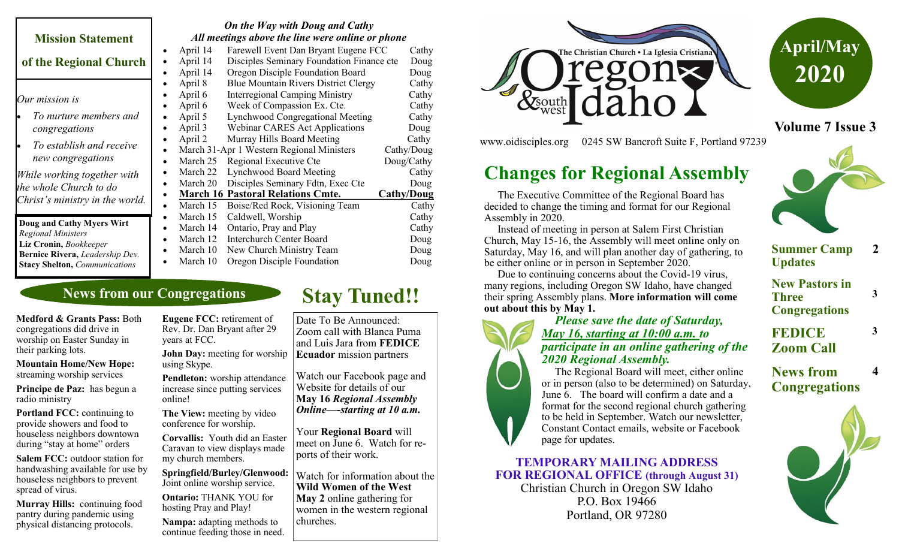|                                                                                          | On the Way with Doug and Cathy<br>All meetings above the line were online or phone |                                           |                   |
|------------------------------------------------------------------------------------------|------------------------------------------------------------------------------------|-------------------------------------------|-------------------|
| <b>Mission Statement</b>                                                                 |                                                                                    |                                           |                   |
|                                                                                          | April 14                                                                           | Farewell Event Dan Bryant Eugene FCC      | Cathy             |
| of the Regional Church                                                                   | April 14<br>$\bullet$                                                              | Disciples Seminary Foundation Finance cte |                   |
|                                                                                          | April 14                                                                           | Oregon Disciple Foundation Board          | Doug              |
|                                                                                          | April 8                                                                            | Blue Mountain Rivers District Clergy      | Cathy             |
| Our mission is                                                                           | April 6                                                                            | <b>Interregional Camping Ministry</b>     | Cathy             |
|                                                                                          | April 6                                                                            | Week of Compassion Ex. Cte.               | Cathy             |
| To nurture members and                                                                   | April 5                                                                            | Lynchwood Congregational Meeting          | Cathy             |
| congregations                                                                            | April 3<br>$\bullet$                                                               | <b>Webinar CARES Act Applications</b>     | Doug              |
| To establish and receive                                                                 | April 2                                                                            | Murray Hills Board Meeting                | Cathy             |
|                                                                                          |                                                                                    | March 31-Apr 1 Western Regional Ministers | Cathy/Doug        |
| new congregations                                                                        | March 25<br>$\bullet$                                                              | Regional Executive Cte                    | Doug/Cathy        |
| While working together with<br>the whole Church to do<br>Christ's ministry in the world. | March 22                                                                           | Lynchwood Board Meeting                   | Cathy             |
|                                                                                          | March 20<br>$\bullet$                                                              | Disciples Seminary Fdtn, Exec Cte         | Doug              |
|                                                                                          | ٠                                                                                  | <b>March 16 Pastoral Relations Cmte.</b>  | <b>Cathy/Doug</b> |
|                                                                                          | March 15<br>$\bullet$                                                              | Boise/Red Rock, Visioning Team            | Cathy             |
| Doug and Cathy Myers Wirt                                                                | March 15                                                                           | Caldwell, Worship                         | Cathy             |
| <b>Regional Ministers</b>                                                                | March 14<br>٠                                                                      | Ontario, Pray and Play                    | Cathy             |
| Liz Cronin, Bookkeeper                                                                   | March 12                                                                           | <b>Interchurch Center Board</b>           | Doug              |
| Bernice Rivera, Leadership Dev.                                                          | March 10                                                                           | New Church Ministry Team                  | Doug              |
| <b>Stacy Shelton, Communications</b>                                                     | March 10<br>$\bullet$                                                              | Oregon Disciple Foundation                | Doug              |

## **News from our Congregations**

**Medford & Grants Pass:** Both congregations did drive in worship on Easter Sunday in their parking lots.

**Mountain Home/New Hope:**  streaming worship services

**Principe de Paz:** has begun a radio ministry

**Portland FCC:** continuing to provide showers and food to houseless neighbors downtown during "stay at home" orders

**Salem FCC:** outdoor station for handwashing available for use by houseless neighbors to prevent spread of virus.

**Murray Hills:** continuing food pantry during pandemic using physical distancing protocols.

**Eugene FCC:** retirement of Rev. Dr. Dan Bryant after 29 years at FCC.

**John Day:** meeting for worship using Skype.

**Pendleton:** worship attendance increase since putting services online!

**The View:** meeting by video conference for worship.

**Corvallis:** Youth did an Easter Caravan to view displays made my church members.

**Springfield/Burley/Glenwood:**  Joint online worship service.

**Ontario:** THANK YOU for hosting Pray and Play!

**Nampa:** adapting methods to continue feeding those in need.

# **Stay Tuned!!**

Date To Be Announced: Zoom call with Blanca Puma and Luis Jara from **FEDICE Ecuador** mission partners

Watch our Facebook page and Website for details of our **May 16** *Regional Assembly Online—-starting at 10 a.m.*

Your **Regional Board** will meet on June 6. Watch for reports of their work.

Watch for information about the **Wild Women of the West May 2** online gathering for women in the western regional churches.





**Volume 7 Issue 3**

www.oidisciples.org 0245 SW Bancroft Suite F, Portland 97239

# **Changes for Regional Assembly**

 The Executive Committee of the Regional Board has decided to change the timing and format for our Regional Assembly in 2020.

 Instead of meeting in person at Salem First Christian Church, May 15-16, the Assembly will meet online only on Saturday, May 16, and will plan another day of gathering, to be either online or in person in September 2020.

 Due to continuing concerns about the Covid-19 virus, many regions, including Oregon SW Idaho, have changed their spring Assembly plans. **More information will come out about this by May 1.** 

#### *Please save the date of Saturday, May 16, starting at 10:00 a.m. to participate in an online gathering of the 2020 Regional Assembly.*

 The Regional Board will meet, either online or in person (also to be determined) on Saturday, June 6. The board will confirm a date and a format for the second regional church gathering to be held in September. Watch our newsletter, Constant Contact emails, website or Facebook page for updates.

**TEMPORARY MAILING ADDRESS FOR REGIONAL OFFICE (through August 31)**

Christian Church in Oregon SW Idaho P.O. Box 19466 Portland, OR 97280



**Summer Camp Updates**

**2**

**3**

**3**

**4**

**New Pastors in Three Congregations**

**FEDICE Zoom Call**

## **News from Congregations**